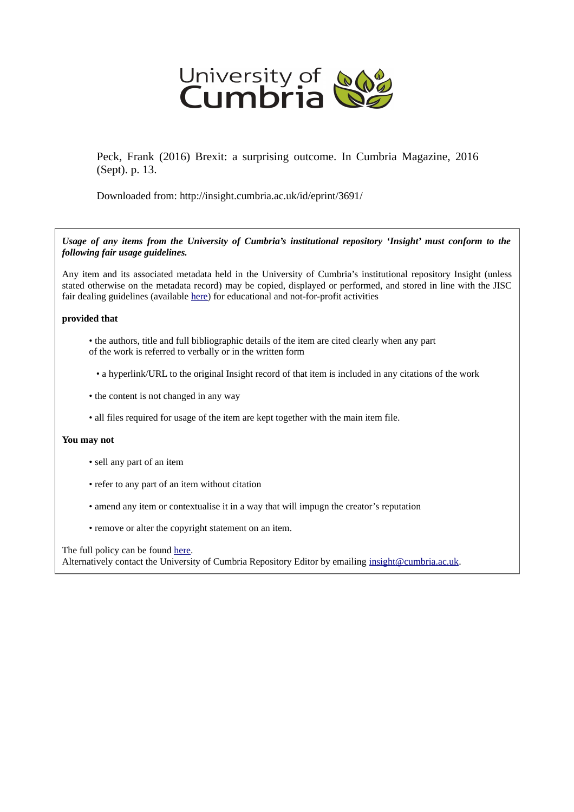

Peck, Frank (2016) Brexit: a surprising outcome. In Cumbria Magazine, 2016 (Sept). p. 13.

Downloaded from: http://insight.cumbria.ac.uk/id/eprint/3691/

*Usage of any items from the University of Cumbria's institutional repository 'Insight' must conform to the following fair usage guidelines.*

Any item and its associated metadata held in the University of Cumbria's institutional repository Insight (unless stated otherwise on the metadata record) may be copied, displayed or performed, and stored in line with the JISC fair dealing guidelines (available [here\)](http://www.ukoln.ac.uk/services/elib/papers/pa/fair/) for educational and not-for-profit activities

## **provided that**

- the authors, title and full bibliographic details of the item are cited clearly when any part of the work is referred to verbally or in the written form
	- a hyperlink/URL to the original Insight record of that item is included in any citations of the work
- the content is not changed in any way
- all files required for usage of the item are kept together with the main item file.

## **You may not**

- sell any part of an item
- refer to any part of an item without citation
- amend any item or contextualise it in a way that will impugn the creator's reputation
- remove or alter the copyright statement on an item.

The full policy can be found [here.](http://insight.cumbria.ac.uk/legal.html#section5)

Alternatively contact the University of Cumbria Repository Editor by emailing [insight@cumbria.ac.uk.](mailto:insight@cumbria.ac.uk)